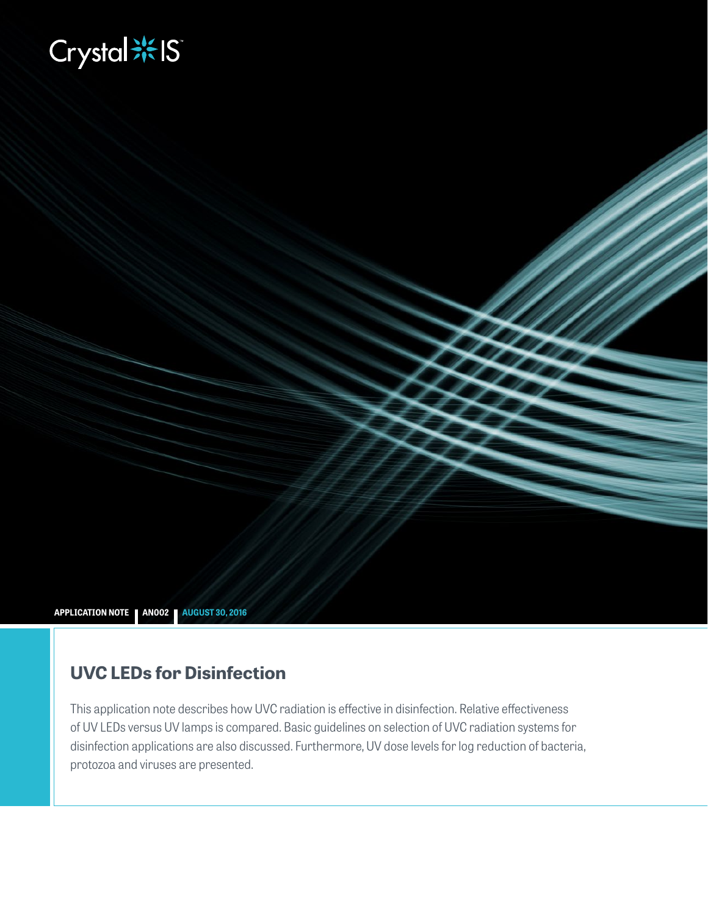# **Biography**

**APPLICATION NOTE AN002 AUGUST 30, 2016**

# **UVC LEDs for Disinfection**

This application note describes how UVC radiation is effective in disinfection. Relative effectiveness of UV LEDs versus UV lamps is compared. Basic guidelines on selection of UVC radiation systems for disinfection applications are also discussed. Furthermore, UV dose levels for log reduction of bacteria, protozoa and viruses are presented.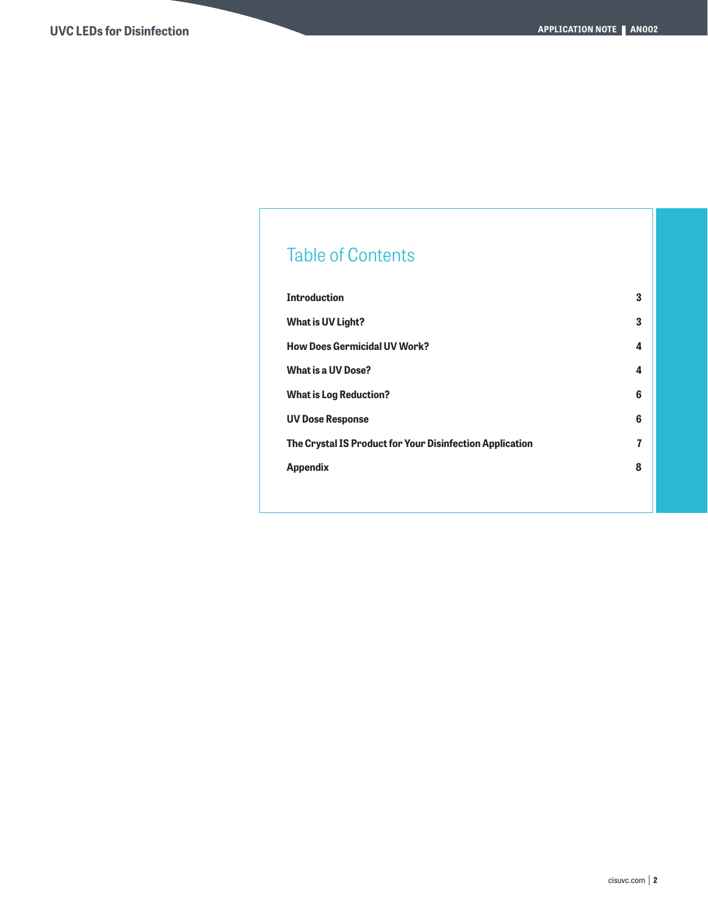# Table of Contents

| <b>Introduction</b>                                      | 3 |
|----------------------------------------------------------|---|
| <b>What is UV Light?</b>                                 | 3 |
| <b>How Does Germicidal UV Work?</b>                      | 4 |
| <b>What is a UV Dose?</b>                                | 4 |
| <b>What is Log Reduction?</b>                            | 6 |
| <b>UV Dose Response</b>                                  | 6 |
| The Crystal IS Product for Your Disinfection Application | 7 |
| <b>Appendix</b>                                          | 8 |
|                                                          |   |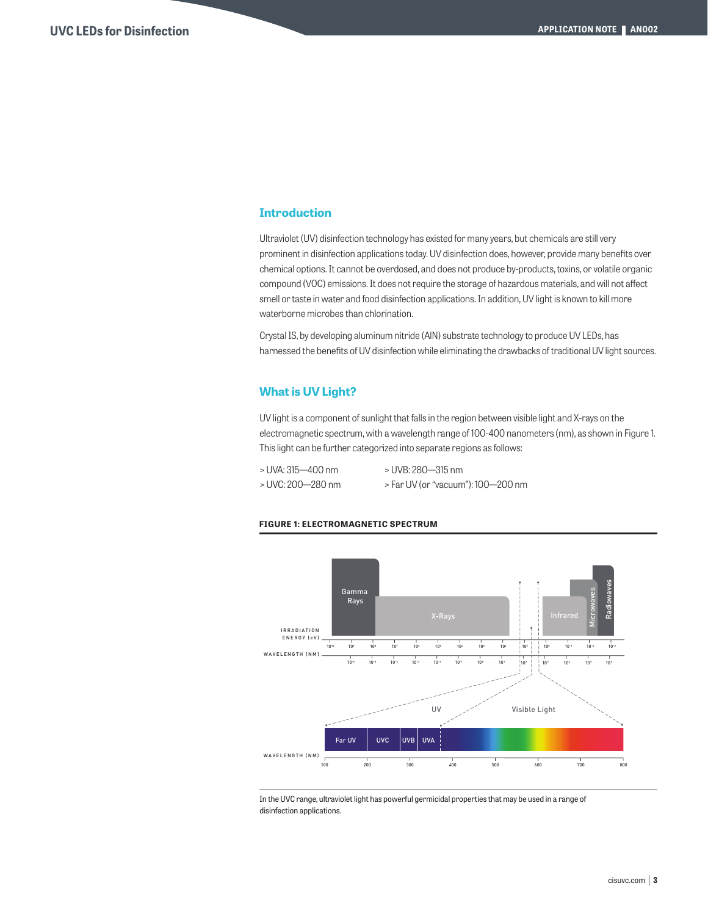## **Introduction**

Ultraviolet (UV) disinfection technology has existed for many years, but chemicals are still very prominent in disinfection applications today. UV disinfection does, however, provide many benefits over chemical options. It cannot be overdosed, and does not produce by-products, toxins, or volatile organic compound (VOC) emissions. It does not require the storage of hazardous materials, and will not affect smell or taste in water and food disinfection applications. In addition, UV light is known to kill more waterborne microbes than chlorination.

Crystal IS, by developing aluminum nitride (AlN) substrate technology to produce UV LEDs, has harnessed the benefits of UV disinfection while eliminating the drawbacks of traditional UV light sources.

#### **What is UV Light?**

UV light is a component of sunlight that falls in the region between visible light and X-rays on the electromagnetic spectrum, with a wavelength range of 100-400 nanometers (nm), as shown in Figure 1. This light can be further categorized into separate regions as follows:

| > UVA: 315-400 nm | > UVB: 280—315 nm                  |
|-------------------|------------------------------------|
| > UVC: 200—280 nm | > Far UV (or "vacuum"): 100—200 nm |

#### **FIGURE 1: ELECTROMAGNETIC SPECTRUM**



In the UVC range, ultraviolet light has powerful germicidal properties that may be used in a range of disinfection applications.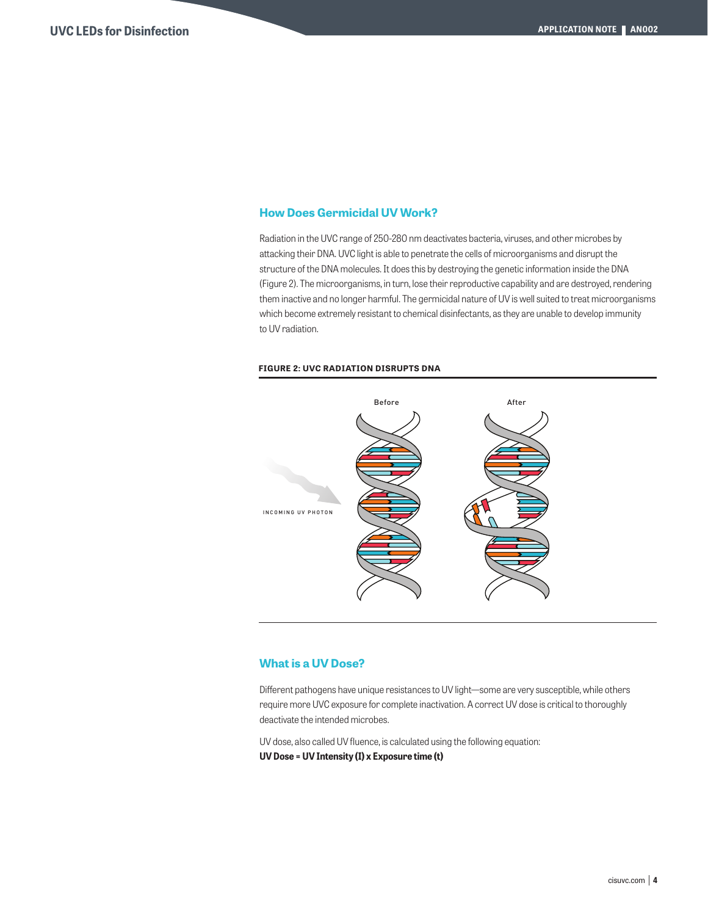### **How Does Germicidal UV Work?**

Radiation in the UVC range of 250-280 nm deactivates bacteria, viruses, and other microbes by attacking their DNA. UVC light is able to penetrate the cells of microorganisms and disrupt the structure of the DNA molecules. It does this by destroying the genetic information inside the DNA (Figure 2). The microorganisms, in turn, lose their reproductive capability and are destroyed, rendering them inactive and no longer harmful. The germicidal nature of UV is well suited to treat microorganisms which become extremely resistant to chemical disinfectants, as they are unable to develop immunity to UV radiation.

#### **FIGURE 2: UVC RADIATION DISRUPTS DNA**



#### **What is a UV Dose?**

Different pathogens have unique resistances to UV light—some are very susceptible, while others require more UVC exposure for complete inactivation. A correct UV dose is critical to thoroughly deactivate the intended microbes.

UV dose, also called UV fluence, is calculated using the following equation: **UV Dose = UV Intensity (I) x Exposure time (t)**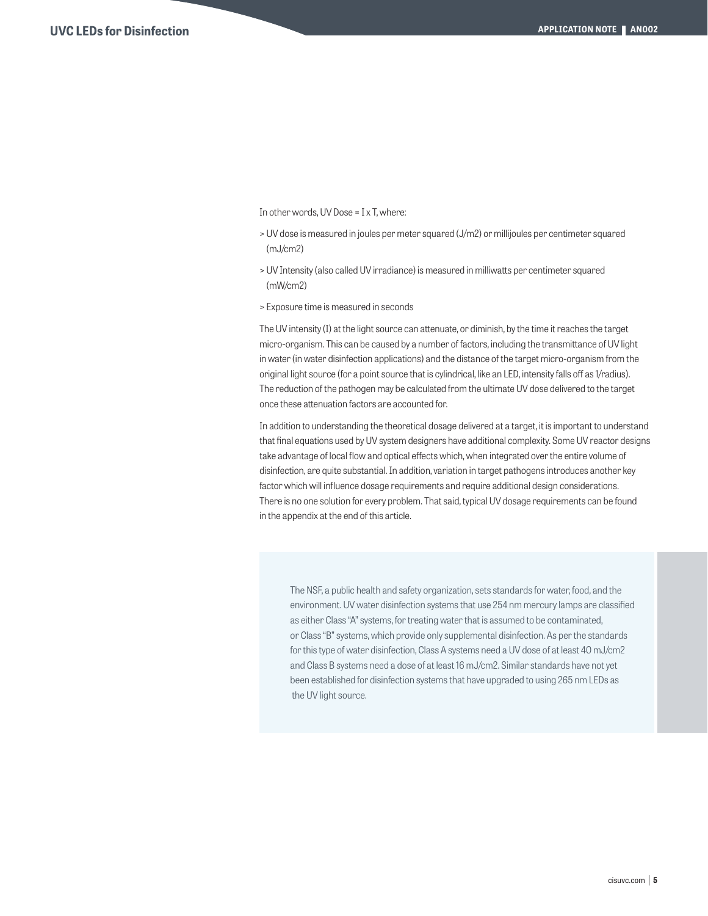In other words, UV Dose = I x T, where:

- > UV dose is measured in joules per meter squared (J/m2) or millijoules per centimeter squared (mJ/cm2)
- > UV Intensity (also called UV irradiance) is measured in milliwatts per centimeter squared (mW/cm2)
- > Exposure time is measured in seconds

The UV intensity (I) at the light source can attenuate, or diminish, by the time it reaches the target micro-organism. This can be caused by a number of factors, including the transmittance of UV light in water (in water disinfection applications) and the distance of the target micro-organism from the original light source (for a point source that is cylindrical, like an LED, intensity falls off as 1/radius). The reduction of the pathogen may be calculated from the ultimate UV dose delivered to the target once these attenuation factors are accounted for.

In addition to understanding the theoretical dosage delivered at a target, it is important to understand that final equations used by UV system designers have additional complexity. Some UV reactor designs take advantage of local flow and optical effects which, when integrated over the entire volume of disinfection, are quite substantial. In addition, variation in target pathogens introduces another key factor which will influence dosage requirements and require additional design considerations. There is no one solution for every problem. That said, typical UV dosage requirements can be found in the appendix at the end of this article.

The NSF, a public health and safety organization, sets standards for water, food, and the environment. UV water disinfection systems that use 254 nm mercury lamps are classified as either Class "A" systems, for treating water that is assumed to be contaminated, or Class "B" systems, which provide only supplemental disinfection. As per the standards for this type of water disinfection, Class A systems need a UV dose of at least 40 mJ/cm2 and Class B systems need a dose of at least 16 mJ/cm2. Similar standards have not yet been established for disinfection systems that have upgraded to using 265 nm LEDs as the UV light source.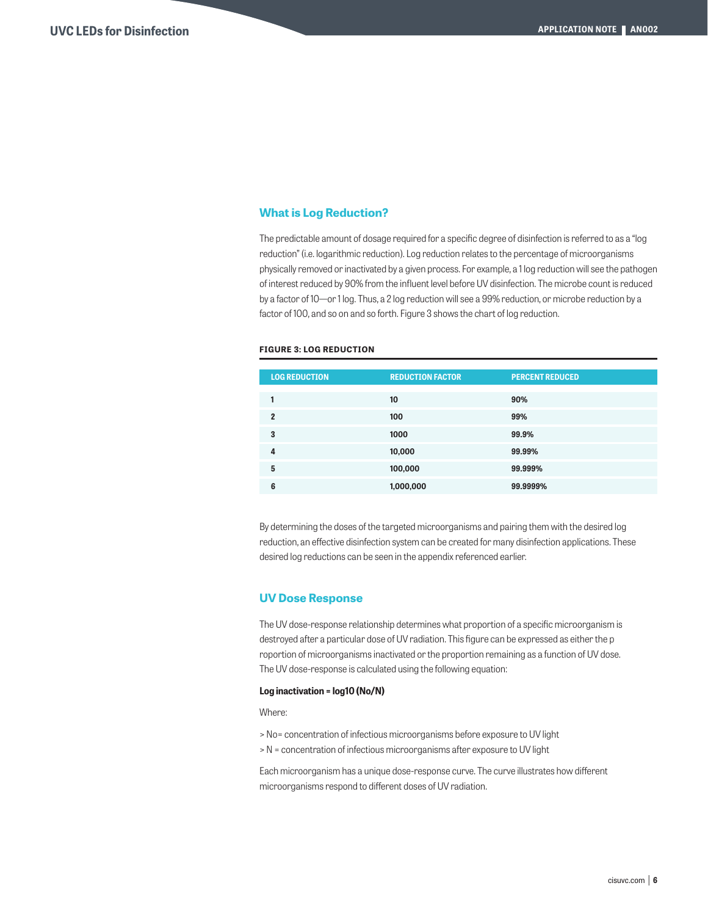# **What is Log Reduction?**

The predictable amount of dosage required for a specific degree of disinfection is referred to as a "log reduction" (i.e. logarithmic reduction). Log reduction relates to the percentage of microorganisms physically removed or inactivated by a given process. For example, a 1 log reduction will see the pathogen of interest reduced by 90% from the influent level before UV disinfection. The microbe count is reduced by a factor of 10—or 1 log. Thus, a 2 log reduction will see a 99% reduction, or microbe reduction by a factor of 100, and so on and so forth. Figure 3 shows the chart of log reduction.

#### **FIGURE 3: LOG REDUCTION**

| <b>LOG REDUCTION</b> | <b>REDUCTION FACTOR</b> | <b>PERCENT REDUCED</b> |
|----------------------|-------------------------|------------------------|
|                      | 10                      | 90%                    |
| $\overline{2}$       | 100                     | 99%                    |
| 3                    | 1000                    | 99.9%                  |
| 4                    | 10,000                  | 99.99%                 |
| 5                    | 100,000                 | 99.999%                |
| 6                    | 1,000,000               | 99.9999%               |

By determining the doses of the targeted microorganisms and pairing them with the desired log reduction, an effective disinfection system can be created for many disinfection applications. These desired log reductions can be seen in the appendix referenced earlier.

#### **UV Dose Response**

The UV dose-response relationship determines what proportion of a specific microorganism is destroyed after a particular dose of UV radiation. This figure can be expressed as either the p roportion of microorganisms inactivated or the proportion remaining as a function of UV dose. The UV dose-response is calculated using the following equation:

#### **Log inactivation = log10 (No/N)**

Where:

- > No= concentration of infectious microorganisms before exposure to UV light
- > N = concentration of infectious microorganisms after exposure to UV light

Each microorganism has a unique dose-response curve. The curve illustrates how different microorganisms respond to different doses of UV radiation.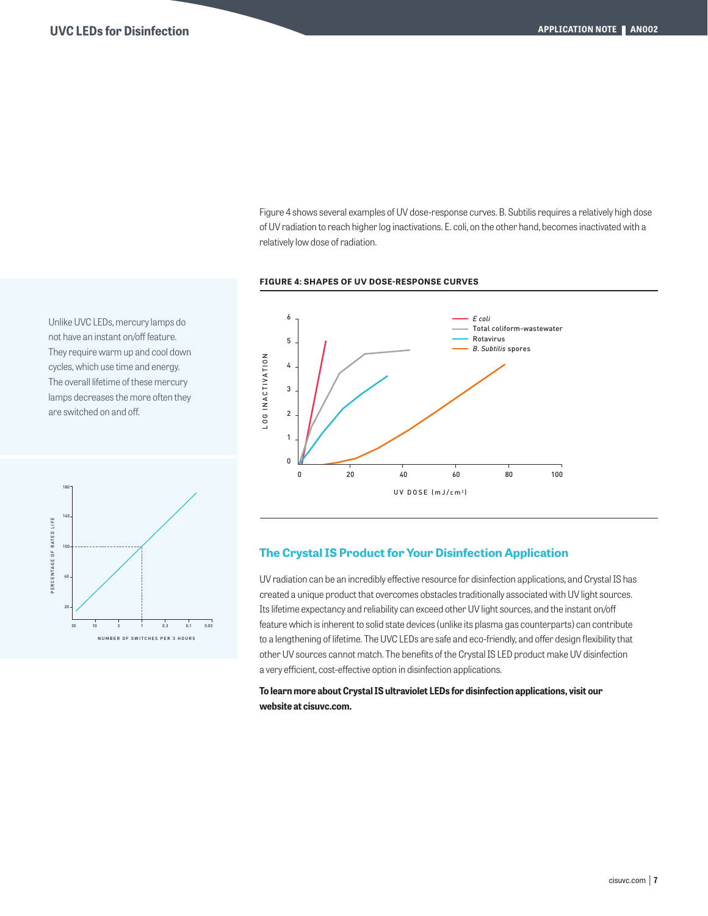Figure 4 shows several examples of UV dose-response curves. B. Subtilis requires a relatively high dose of UV radiation to reach higher log inactivations. E. coli, on the other hand, becomes inactivated with a relatively low dose of radiation.

#### **FIGURE 4: SHAPES OF UV DOSE-RESPONSE CURVES**

Unlike UVC LEDs, mercury lamps do not have an instant on/off feature. They require warm up and cool down cycles, which use time and energy. The overall lifetime of these mercury lamps decreases the more often they are switched on and off.





## **The Crystal IS Product for Your Disinfection Application**

UV radiation can be an incredibly effective resource for disinfection applications, and Crystal IS has created a unique product that overcomes obstacles traditionally associated with UV light sources. Its lifetime expectancy and reliability can exceed other UV light sources, and the instant on/off feature which is inherent to solid state devices (unlike its plasma gas counterparts) can contribute to a lengthening of lifetime. The UVC LEDs are safe and eco-friendly, and offer design flexibility that other UV sources cannot match. The benefits of the Crystal IS LED product make UV disinfection a very efficient, cost-effective option in disinfection applications.

**To learn more about Crystal IS ultraviolet LEDs for disinfection applications, visit our website at cisuvc.com.**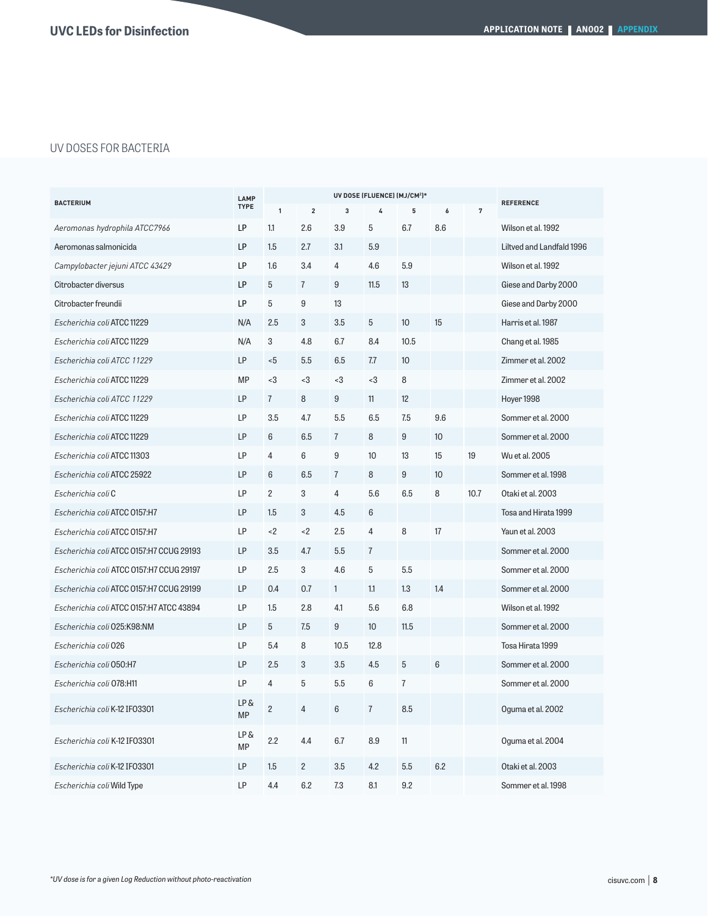# UV DOSES FOR BACTERIA

| <b>LAMP</b><br><b>BACTERIUM</b><br><b>TYPE</b> |                  |                |                | <b>REFERENCE</b> |                |                |     |      |                           |
|------------------------------------------------|------------------|----------------|----------------|------------------|----------------|----------------|-----|------|---------------------------|
|                                                |                  | $\mathbf{1}$   | $\mathbf 2$    | 3                | 4              | 5              | 6   | 7    |                           |
| Aeromonas hydrophila ATCC7966                  | LP               | 1.1            | 2.6            | 3.9              | 5              | 6.7            | 8.6 |      | Wilson et al. 1992        |
| Aeromonas salmonicida                          | LP               | 1.5            | 2.7            | 3.1              | 5.9            |                |     |      | Liltved and Landfald 1996 |
| Campylobacter jejuni ATCC 43429                | LP               | 1.6            | 3.4            | $\overline{4}$   | 4.6            | 5.9            |     |      | Wilson et al. 1992        |
| Citrobacter diversus                           | LP               | $\overline{5}$ | $\overline{7}$ | 9                | 11.5           | 13             |     |      | Giese and Darby 2000      |
| Citrobacter freundii                           | LP               | 5              | 9              | 13               |                |                |     |      | Giese and Darby 2000      |
| Escherichia coli ATCC 11229                    | N/A              | 2.5            | 3              | 3.5              | $\overline{5}$ | 10             | 15  |      | Harris et al. 1987        |
| Escherichia coli ATCC 11229                    | N/A              | 3              | 4.8            | 6.7              | 8.4            | 10.5           |     |      | Chang et al. 1985         |
| Escherichia coli ATCC 11229                    | LP               | $5$            | 5.5            | 6.5              | 7.7            | 10             |     |      | Zimmer et al. 2002        |
| Escherichia coli ATCC 11229                    | <b>MP</b>        | < 3            | $3$            | $<$ 3            | $<$ 3          | 8              |     |      | Zimmer et al. 2002        |
| Escherichia coli ATCC 11229                    | LP               | $\overline{7}$ | 8              | 9                | 11             | 12             |     |      | Hoyer 1998                |
| Escherichia coli ATCC 11229                    | LP               | 3.5            | 4.7            | 5.5              | 6.5            | 7.5            | 9.6 |      | Sommer et al. 2000        |
| Escherichia coli ATCC 11229                    | LP               | $6\,$          | 6.5            | $\overline{7}$   | 8              | 9              | 10  |      | Sommer et al. 2000        |
| Escherichia coli ATCC 11303                    | LP               | $\overline{4}$ | 6              | 9                | 10             | 13             | 15  | 19   | Wu et al. 2005            |
| Escherichia coli ATCC 25922                    | LP               | 6              | 6.5            | $\overline{7}$   | 8              | 9              | 10  |      | Sommer et al. 1998        |
| Escherichia coli C                             | LP               | $\overline{c}$ | 3              | 4                | 5.6            | 6.5            | 8   | 10.7 | Otaki et al. 2003         |
| Escherichia coli ATCC 0157:H7                  | LP               | 1.5            | 3              | 4.5              | 6              |                |     |      | Tosa and Hirata 1999      |
| Escherichia coli ATCC 0157:H7                  | LP               | < 2            | < 2            | 2.5              | $\overline{4}$ | 8              | 17  |      | Yaun et al. 2003          |
| Escherichia coli ATCC 0157:H7 CCUG 29193       | LP               | 3.5            | 4.7            | 5.5              | $\overline{7}$ |                |     |      | Sommer et al. 2000        |
| Escherichia coli ATCC 0157:H7 CCUG 29197       | LP               | 2.5            | 3              | 4.6              | 5              | 5.5            |     |      | Sommer et al. 2000        |
| Escherichia coli ATCC 0157:H7 CCUG 29199       | LP               | 0.4            | 0.7            | $\mathbf{1}$     | 1.1            | 1.3            | 1.4 |      | Sommer et al. 2000        |
| Escherichia coli ATCC 0157:H7 ATCC 43894       | LP               | 1.5            | 2.8            | 4.1              | 5.6            | 6.8            |     |      | Wilson et al. 1992        |
| Escherichia coli 025:K98:NM                    | LP               | 5              | 7.5            | 9                | 10             | 11.5           |     |      | Sommer et al. 2000        |
| Escherichia coli 026                           | LP               | 5.4            | 8              | 10.5             | 12.8           |                |     |      | Tosa Hirata 1999          |
| Escherichia coli 050:H7                        | LP               | 2.5            | 3              | 3.5              | 4.5            | 5              | 6   |      | Sommer et al. 2000        |
| Escherichia coli 078:H11                       | LP               | $\overline{4}$ | 5              | 5.5              | 6              | $\overline{7}$ |     |      | Sommer et al. 2000        |
| Escherichia coli K-12 IF03301                  | LP&<br><b>MP</b> | $\overline{c}$ | 4              | 6                | $\overline{7}$ | 8.5            |     |      | Oguma et al. 2002         |
| Escherichia coli K-12 IF03301                  | LP &<br>MP       | 2.2            | 4.4            | 6.7              | 8.9            | 11             |     |      | Oguma et al. 2004         |
| Escherichia coli K-12 IF03301                  | LP               | 1.5            | $\overline{c}$ | 3.5              | 4.2            | 5.5            | 6.2 |      | Otaki et al. 2003         |
| Escherichia coli Wild Type                     | LP               | 4.4            | 6.2            | 7.3              | 8.1            | 9.2            |     |      | Sommer et al. 1998        |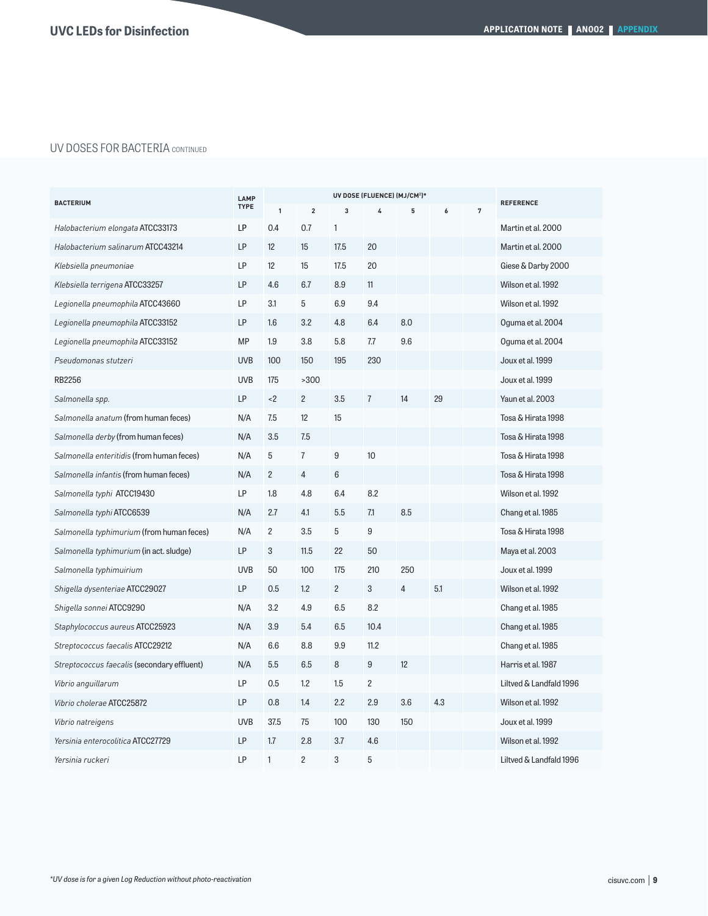# UV DOSES FOR BACTERIA CONTINUED

| <b>BACTERIUM</b>                            |            |                |                | <b>REFERENCE</b> |                |     |     |                |                         |
|---------------------------------------------|------------|----------------|----------------|------------------|----------------|-----|-----|----------------|-------------------------|
|                                             |            | $\mathbf{1}$   | $\mathbf 2$    | 3                | 4              | 5   | 6   | $\overline{7}$ |                         |
| Halobacterium elongata ATCC33173            | LP         | 0.4            | 0.7            | $\mathbf{1}$     |                |     |     |                | Martin et al. 2000      |
| Halobacterium salinarum ATCC43214           | LP         | 12             | 15             | 17.5             | 20             |     |     |                | Martin et al. 2000      |
| Klebsiella pneumoniae                       | LP         | 12             | 15             | 17.5             | 20             |     |     |                | Giese & Darby 2000      |
| Klebsiella terrigena ATCC33257              | LP         | 4.6            | 6.7            | 8.9              | 11             |     |     |                | Wilson et al. 1992      |
| Legionella pneumophila ATCC43660            | LP         | 3.1            | 5              | 6.9              | 9.4            |     |     |                | Wilson et al. 1992      |
| Legionella pneumophila ATCC33152            | LP         | 1.6            | 3.2            | 4.8              | 6.4            | 8.0 |     |                | Oguma et al. 2004       |
| Legionella pneumophila ATCC33152            | <b>MP</b>  | 1.9            | 3.8            | 5.8              | 7.7            | 9.6 |     |                | Oguma et al. 2004       |
| Pseudomonas stutzeri                        | <b>UVB</b> | 100            | 150            | 195              | 230            |     |     |                | Joux et al. 1999        |
| <b>RB2256</b>                               | <b>UVB</b> | 175            | >300           |                  |                |     |     |                | Joux et al. 1999        |
| Salmonella spp.                             | LP         | < 2            | $\overline{c}$ | 3.5              | $\overline{7}$ | 14  | 29  |                | Yaun et al. 2003        |
| Salmonella anatum (from human feces)        | N/A        | 7.5            | 12             | 15               |                |     |     |                | Tosa & Hirata 1998      |
| Salmonella derby (from human feces)         | N/A        | 3.5            | 7.5            |                  |                |     |     |                | Tosa & Hirata 1998      |
| Salmonella enteritidis (from human feces)   | N/A        | 5              | $\overline{1}$ | $\boldsymbol{9}$ | 10             |     |     |                | Tosa & Hirata 1998      |
| Salmonella infantis (from human feces)      | N/A        | $\overline{c}$ | $\overline{4}$ | 6                |                |     |     |                | Tosa & Hirata 1998      |
| Salmonella typhi ATCC19430                  | LP         | 1.8            | 4.8            | 6.4              | 8.2            |     |     |                | Wilson et al. 1992      |
| Salmonella typhi ATCC6539                   | N/A        | 2.7            | 4.1            | 5.5              | 7.1            | 8.5 |     |                | Chang et al. 1985       |
| Salmonella typhimurium (from human feces)   | N/A        | $\mathbf{2}$   | 3.5            | 5                | 9              |     |     |                | Tosa & Hirata 1998      |
| Salmonella typhimurium (in act. sludge)     | LP         | 3              | 11.5           | 22               | 50             |     |     |                | Maya et al. 2003        |
| Salmonella typhimuirium                     | <b>UVB</b> | 50             | 100            | 175              | 210            | 250 |     |                | Joux et al. 1999        |
| Shigella dysenteriae ATCC29027              | LP         | 0.5            | 1.2            | $\overline{2}$   | 3              | 4   | 5.1 |                | Wilson et al. 1992      |
| Shigella sonnei <b>ATCC9290</b>             | N/A        | 3.2            | 4.9            | 6.5              | 8.2            |     |     |                | Chang et al. 1985       |
| Staphylococcus aureus ATCC25923             | N/A        | 3.9            | 5.4            | 6.5              | 10.4           |     |     |                | Chang et al. 1985       |
| Streptococcus faecalis ATCC29212            | N/A        | 6.6            | 8.8            | 9.9              | 11.2           |     |     |                | Chang et al. 1985       |
| Streptococcus faecalis (secondary effluent) | N/A        | 5.5            | 6.5            | 8                | $9\,$          | 12  |     |                | Harris et al. 1987      |
| Vibrio anguillarum                          | LP         | 0.5            | 1.2            | 1.5              | $\overline{c}$ |     |     |                | Liltved & Landfald 1996 |
| Vibrio cholerae ATCC25872                   | LP         | 0.8            | 1.4            | 2.2              | 2.9            | 3.6 | 4.3 |                | Wilson et al. 1992      |
| Vibrio natreigens                           | <b>UVB</b> | 37.5           | 75             | 100              | 130            | 150 |     |                | Joux et al. 1999        |
| Yersinia enterocolitica ATCC27729           | LP         | 1.7            | 2.8            | 3.7              | 4.6            |     |     |                | Wilson et al. 1992      |
| Yersinia ruckeri                            | LP         | $\mathbf{1}$   | $\overline{c}$ | 3                | 5              |     |     |                | Liltved & Landfald 1996 |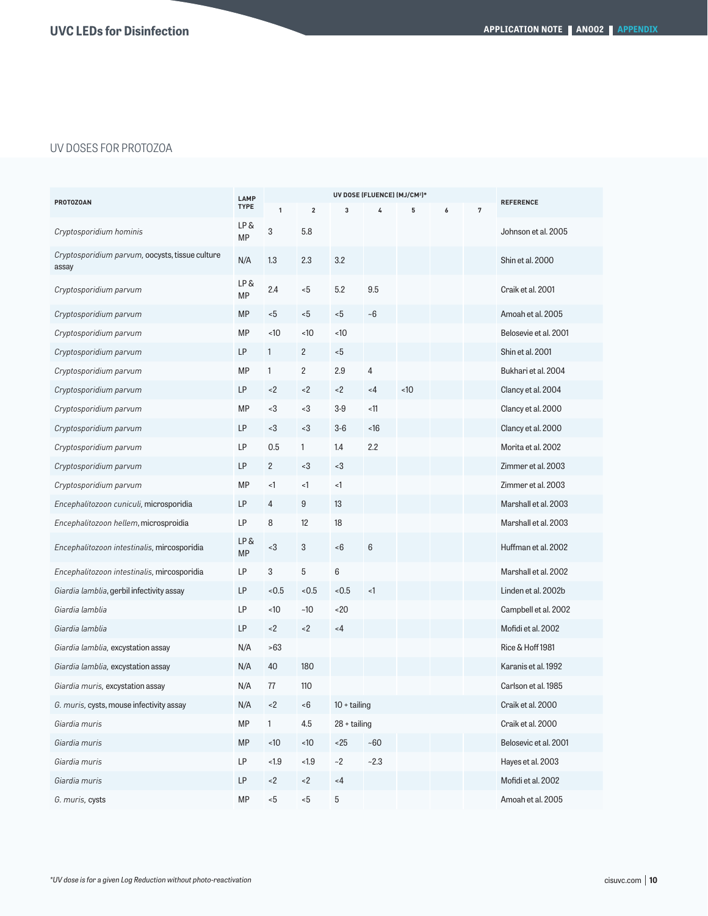# UV DOSES FOR PROTOZOA

| <b>PROTOZOAN</b>                                         |                  |                |                         |                    |                 |     |   |   |                       |
|----------------------------------------------------------|------------------|----------------|-------------------------|--------------------|-----------------|-----|---|---|-----------------------|
|                                                          |                  | 1              | $\overline{\mathbf{2}}$ | 3                  | 4               | 5   | 6 | 7 | <b>REFERENCE</b>      |
| Cryptosporidium hominis                                  | LP&<br>MP        | 3              | 5.8                     |                    |                 |     |   |   | Johnson et al. 2005   |
| Cryptosporidium parvum, oocysts, tissue culture<br>assay | N/A              | 1.3            | 2.3                     | 3.2                |                 |     |   |   | Shin et al. 2000      |
| Cryptosporidium parvum                                   | LP &<br>MP       | 2.4            | $5$                     | 5.2                | 9.5             |     |   |   | Craik et al. 2001     |
| Cryptosporidium parvum                                   | MP               | $5$            | $5$                     | $-5$               | $-6$            |     |   |   | Amoah et al. 2005     |
| Cryptosporidium parvum                                   | <b>MP</b>        | $<10$          | ~10                     | ~10                |                 |     |   |   | Belosevie et al. 2001 |
| Cryptosporidium parvum                                   | LP               | 1              | $\mathbf{2}$            | $-5$               |                 |     |   |   | Shin et al. 2001      |
| Cryptosporidium parvum                                   | <b>MP</b>        | 1              | $\overline{c}$          | 2.9                | $\overline{4}$  |     |   |   | Bukhari et al. 2004   |
| Cryptosporidium parvum                                   | LP               | < 2            | < 2                     | < 2                | $\leq$ 4        | ~10 |   |   | Clancy et al. 2004    |
| Cryptosporidium parvum                                   | MP               | $3$            | -3                      | $3-9$              | < 11            |     |   |   | Clancy et al. 2000    |
| Cryptosporidium parvum                                   | LP               | $3$            | $3$                     | $3-6$              | ~16             |     |   |   | Clancy et al. 2000    |
| Cryptosporidium parvum                                   | LP               | 0.5            | 1                       | 1.4                | 2.2             |     |   |   | Morita et al. 2002    |
| Cryptosporidium parvum                                   | LP               | $\overline{c}$ | -3                      | $3$                |                 |     |   |   | Zimmer et al. 2003    |
| Cryptosporidium parvum                                   | MP               | <1             | <1                      | <1                 |                 |     |   |   | Zimmer et al. 2003    |
| Encephalitozoon cuniculi, microsporidia                  | LP               | 4              | 9                       | 13                 |                 |     |   |   | Marshall et al. 2003  |
| Encephalitozoon hellem, microsproidia                    | LP               | 8              | 12                      | 18                 |                 |     |   |   | Marshall et al. 2003  |
| Encephalitozoon intestinalis, mircosporidia              | LP&<br><b>MP</b> | $<$ 3          | 3                       | <6                 | $6\phantom{1}6$ |     |   |   | Huffman et al. 2002   |
| Encephalitozoon intestinalis, mircosporidia              | LP               | 3              | 5                       | 6                  |                 |     |   |   | Marshall et al. 2002  |
| Giardia lamblia, gerbil infectivity assay                | LP               | < 0.5          | < 0.5                   | < 0.5              | $\leq$          |     |   |   | Linden et al. 2002b   |
| Giardia lamblia                                          | LP               | $<10$          | ~10                     | 20                 |                 |     |   |   | Campbell et al. 2002  |
| Giardia lamblia                                          | LP               | < 2            | < 2                     | $<$ 4              |                 |     |   |   | Mofidi et al. 2002    |
| Giardia lamblia, excystation assay                       | N/A              | >63            |                         |                    |                 |     |   |   | Rice & Hoff 1981      |
| Giardia lamblia, excystation assay                       | N/A              | 40             | 180                     |                    |                 |     |   |   | Karanis et al. 1992   |
| Giardia muris, excystation assay                         | N/A              | 77             | 110                     |                    |                 |     |   |   | Carlson et al. 1985   |
| G. muris, cysts, mouse infectivity assay                 | N/A              | < 2            | -6                      | $10 + \text{tail}$ |                 |     |   |   | Craik et al. 2000     |
| Giardia muris                                            | <b>MP</b>        | 1              | 4.5                     | $28 + \ntailing$   |                 |     |   |   | Craik et al. 2000     |
| Giardia muris                                            | MP               | ~10            | ~10                     | < 25               | ~50             |     |   |   | Belosevic et al. 2001 |
| Giardia muris                                            | LP               | $<1.9$         | $<1.9$                  | $-2$               | $-2.3$          |     |   |   | Hayes et al. 2003     |
| Giardia muris                                            | LP               | ${<}2$         | < 2                     | $<4$               |                 |     |   |   | Mofidi et al. 2002    |
| G. muris, cysts                                          | <b>MP</b>        | $< 5$          | < 5                     | 5                  |                 |     |   |   | Amoah et al. 2005     |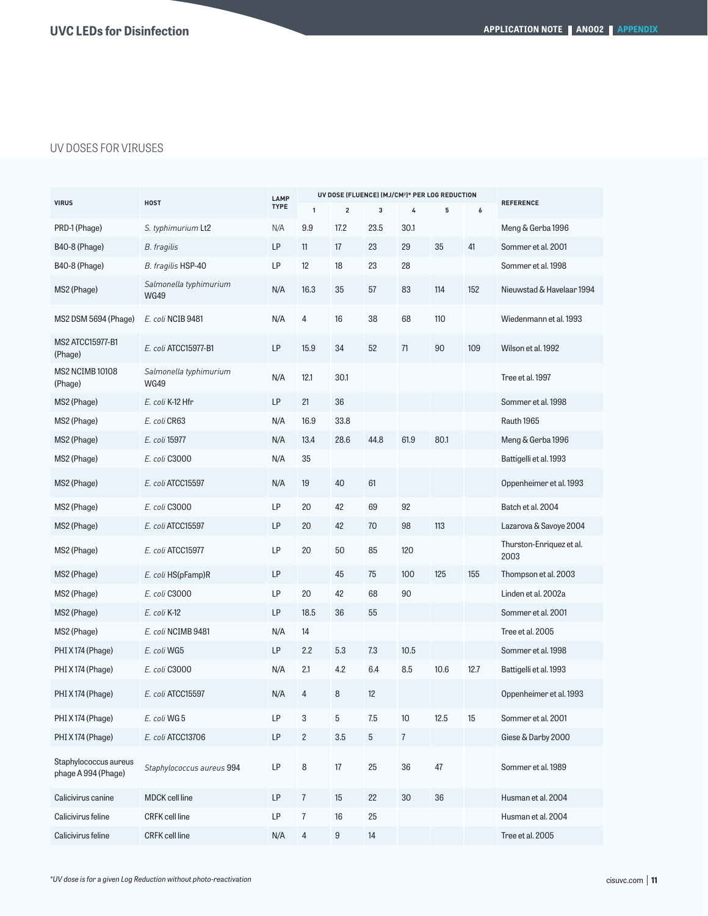# UV DOSES FOR VIRUSES

|                                              | <b>HOST</b>                           | LAMP<br><b>TYPE</b> |                         |      | UV DOSE (FLUENCE) (MJ/CM <sup>2</sup> )* PER LOG REDUCTION |                |      |      |                                  |
|----------------------------------------------|---------------------------------------|---------------------|-------------------------|------|------------------------------------------------------------|----------------|------|------|----------------------------------|
| <b>VIRUS</b>                                 |                                       |                     | $\mathbf{1}$            | 2    | 3                                                          | 4              | 5    | 6    | <b>REFERENCE</b>                 |
| PRD-1 (Phage)                                | S. typhimurium Lt2                    | N/A                 | 9.9                     | 17.2 | 23.5                                                       | 30.1           |      |      | Meng & Gerba 1996                |
| <b>B40-8 (Phage)</b>                         | B. fragilis                           | LP                  | 11                      | 17   | 23                                                         | 29             | 35   | 41   | Sommer et al. 2001               |
| <b>B40-8 (Phage)</b>                         | B. fragilis HSP-40                    | LP                  | 12                      | 18   | 23                                                         | 28             |      |      | Sommer et al. 1998               |
| MS2 (Phage)                                  | Salmonella typhimurium<br><b>WG49</b> | N/A                 | 16.3                    | 35   | 57                                                         | 83             | 114  | 152  | Nieuwstad & Havelaar 1994        |
| MS2 DSM 5694 (Phage)                         | E. coli NCIB 9481                     | N/A                 | 4                       | 16   | 38                                                         | 68             | 110  |      | Wiedenmann et al. 1993           |
| <b>MS2 ATCC15977-B1</b><br>(Phage)           | E. coli ATCC15977-B1                  | LP                  | 15.9                    | 34   | 52                                                         | 71             | 90   | 109  | Wilson et al. 1992               |
| <b>MS2 NCIMB 10108</b><br>(Phage)            | Salmonella typhimurium<br><b>WG49</b> | N/A                 | 12.1                    | 30.1 |                                                            |                |      |      | Tree et al. 1997                 |
| MS2 (Phage)                                  | E. coli K-12 Hfr                      | LP                  | 21                      | 36   |                                                            |                |      |      | Sommer et al. 1998               |
| MS2 (Phage)                                  | E. coli CR63                          | N/A                 | 16.9                    | 33.8 |                                                            |                |      |      | Rauth 1965                       |
| MS2 (Phage)                                  | E. coli 15977                         | N/A                 | 13.4                    | 28.6 | 44.8                                                       | 61.9           | 80.1 |      | Meng & Gerba 1996                |
| MS2 (Phage)                                  | E. coli C3000                         | N/A                 | 35                      |      |                                                            |                |      |      | Battigelli et al. 1993           |
| MS2 (Phage)                                  | E. coli ATCC15597                     | N/A                 | 19                      | 40   | 61                                                         |                |      |      | Oppenheimer et al. 1993          |
| MS2 (Phage)                                  | E. coli C3000                         | LP                  | 20                      | 42   | 69                                                         | 92             |      |      | Batch et al. 2004                |
| MS2 (Phage)                                  | E. coli ATCC15597                     | LP                  | 20                      | 42   | 70                                                         | 98             | 113  |      | Lazarova & Savoye 2004           |
| MS2 (Phage)                                  | E. coli ATCC15977                     | LP                  | 20                      | 50   | 85                                                         | 120            |      |      | Thurston-Enriquez et al.<br>2003 |
| MS2 (Phage)                                  | E. coli HS(pFamp)R                    | LP                  |                         | 45   | 75                                                         | 100            | 125  | 155  | Thompson et al. 2003             |
| MS2 (Phage)                                  | E. coli C3000                         | LP                  | 20                      | 42   | 68                                                         | 90             |      |      | Linden et al. 2002a              |
| MS2 (Phage)                                  | E. coli K-12                          | LP                  | 18.5                    | 36   | 55                                                         |                |      |      | Sommer et al. 2001               |
| MS2 (Phage)                                  | E. coli NCIMB 9481                    | N/A                 | 14                      |      |                                                            |                |      |      | Tree et al. 2005                 |
| PHI X 174 (Phage)                            | E. coli WG5                           | LP                  | 2.2                     | 5.3  | 7.3                                                        | 10.5           |      |      | Sommer et al. 1998               |
| PHI X174 (Phage)                             | E. coli C3000                         | N/A                 | 2.1                     | 4.2  | 6.4                                                        | 8.5            | 10.6 | 12.7 | Battigelli et al. 1993           |
| PHI X 174 (Phage)                            | E. coli ATCC15597                     | N/A                 | $\overline{4}$          | 8    | 12                                                         |                |      |      | Oppenheimer et al. 1993          |
| PHI X 174 (Phage)                            | E. coli WG 5                          | LP                  | 3                       | 5    | 7.5                                                        | 10             | 12.5 | 15   | Sommer et al. 2001               |
| PHI X 174 (Phage)                            | E. coli ATCC13706                     | LP                  | $\overline{\mathbf{c}}$ | 3.5  | $\mathbf 5$                                                | $\overline{I}$ |      |      | Giese & Darby 2000               |
| Staphylococcus aureus<br>phage A 994 (Phage) | Staphylococcus aureus 994             | LP                  | 8                       | 17   | 25                                                         | 36             | 47   |      | Sommer et al. 1989               |
| Calicivirus canine                           | MDCK cell line                        | LP                  | $\boldsymbol{7}$        | 15   | 22                                                         | 30             | 36   |      | Husman et al. 2004               |
| Calicivirus feline                           | <b>CRFK</b> cell line                 | LP                  | 7                       | 16   | 25                                                         |                |      |      | Husman et al. 2004               |
| Calicivirus feline                           | <b>CRFK</b> cell line                 | N/A                 | $\overline{4}$          | 9    | 14                                                         |                |      |      | Tree et al. 2005                 |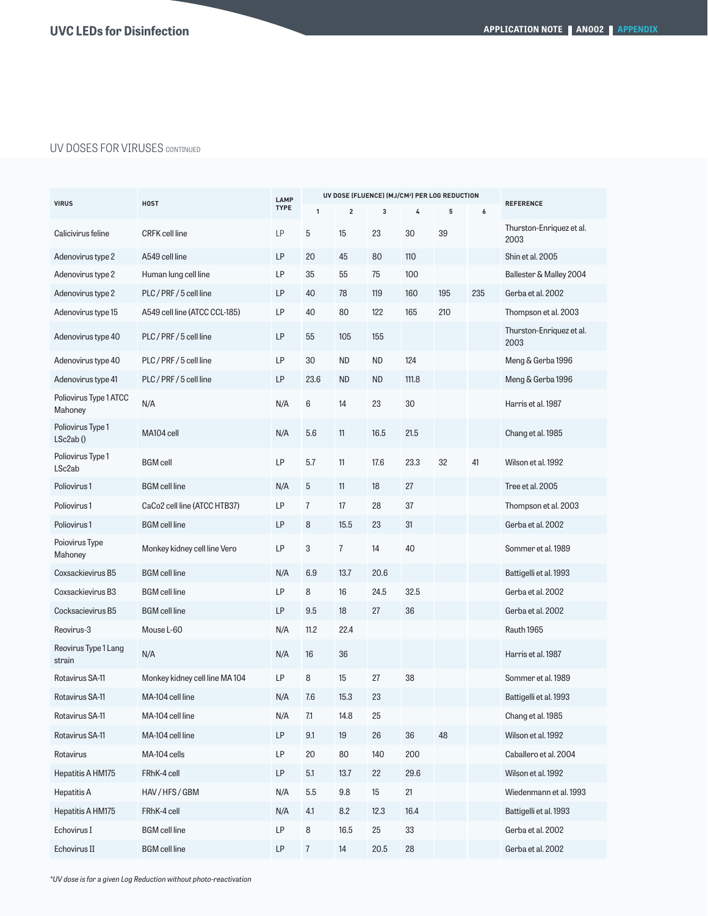# UV DOSES FOR VIRUSES CONTINUED

| <b>VIRUS</b>                            | <b>HOST</b>                    | LAMP        |                | UV DOSE (FLUENCE) (MJ/CM <sup>2</sup> ) PER LOG REDUCTION |           |       |     |     |                                  |
|-----------------------------------------|--------------------------------|-------------|----------------|-----------------------------------------------------------|-----------|-------|-----|-----|----------------------------------|
|                                         |                                | <b>TYPE</b> | $\mathbf{1}$   | $\overline{2}$                                            | 3         | 4     | 5   | 6   | <b>REFERENCE</b>                 |
| Calicivirus feline                      | <b>CRFK</b> cell line          | LP          | 5              | 15                                                        | 23        | 30    | 39  |     | Thurston-Enriquez et al.<br>2003 |
| Adenovirus type 2                       | A549 cell line                 | LP          | 20             | 45                                                        | 80        | 110   |     |     | Shin et al. 2005                 |
| Adenovirus type 2                       | Human lung cell line           | LP          | 35             | 55                                                        | 75        | 100   |     |     | Ballester & Malley 2004          |
| Adenovirus type 2                       | PLC/PRF/5 cell line            | LP          | 40             | 78                                                        | 119       | 160   | 195 | 235 | Gerba et al. 2002                |
| Adenovirus type 15                      | A549 cell line (ATCC CCL-185)  | LP          | 40             | 80                                                        | 122       | 165   | 210 |     | Thompson et al. 2003             |
| Adenovirus type 40                      | PLC/PRF/5 cell line            | LP          | 55             | 105                                                       | 155       |       |     |     | Thurston-Enriquez et al.<br>2003 |
| Adenovirus type 40                      | PLC/PRF/5 cell line            | LP          | 30             | <b>ND</b>                                                 | <b>ND</b> | 124   |     |     | Meng & Gerba 1996                |
| Adenovirus type 41                      | PLC/PRF/5 cell line            | LP          | 23.6           | <b>ND</b>                                                 | <b>ND</b> | 111.8 |     |     | Meng & Gerba 1996                |
| Poliovirus Type 1 ATCC<br>Mahoney       | N/A                            | N/A         | 6              | 14                                                        | 23        | 30    |     |     | Harris et al. 1987               |
| Poliovirus Type 1<br>LSc2ab()           | MA104 cell                     | N/A         | 5.6            | 11                                                        | 16.5      | 21.5  |     |     | Chang et al. 1985                |
| Poliovirus Type 1<br>LSc <sub>2ab</sub> | <b>BGM</b> cell                | LP          | 5.7            | 11                                                        | 17.6      | 23.3  | 32  | 41  | Wilson et al. 1992               |
| Poliovirus 1                            | <b>BGM</b> cell line           | N/A         | 5              | 11                                                        | 18        | 27    |     |     | Tree et al. 2005                 |
| Poliovirus <sub>1</sub>                 | CaCo2 cell line (ATCC HTB37)   | LP          | $\overline{7}$ | 17                                                        | 28        | 37    |     |     | Thompson et al. 2003             |
| Poliovirus 1                            | <b>BGM</b> cell line           | LP          | 8              | 15.5                                                      | 23        | 31    |     |     | Gerba et al. 2002                |
| Poiovirus Type<br>Mahoney               | Monkey kidney cell line Vero   | LP          | 3              | $\overline{7}$                                            | 14        | 40    |     |     | Sommer et al. 1989               |
| Coxsackievirus B5                       | <b>BGM</b> cell line           | N/A         | 6.9            | 13.7                                                      | 20.6      |       |     |     | Battigelli et al. 1993           |
| Coxsackievirus B3                       | <b>BGM</b> cell line           | LP          | 8              | 16                                                        | 24.5      | 32.5  |     |     | Gerba et al. 2002                |
| Cocksacievirus B5                       | <b>BGM</b> cell line           | LP          | 9.5            | 18                                                        | 27        | 36    |     |     | Gerba et al. 2002                |
| Reovirus-3                              | Mouse L-60                     | N/A         | 11.2           | 22.4                                                      |           |       |     |     | Rauth 1965                       |
| Reovirus Type 1 Lang<br>strain          | N/A                            | N/A         | 16             | 36                                                        |           |       |     |     | Harris et al. 1987               |
| Rotavirus SA-11                         | Monkey kidney cell line MA 104 | <b>LP</b>   | 8              | 15                                                        | 27        | 38    |     |     | Sommer et al. 1989               |
| Rotavirus SA-11                         | MA-104 cell line               | N/A         | 7.6            | 15.3                                                      | 23        |       |     |     | Battigelli et al. 1993           |
| Rotavirus SA-11                         | MA-104 cell line               | N/A         | $7.1$          | 14.8                                                      | 25        |       |     |     | Chang et al. 1985                |
| Rotavirus SA-11                         | MA-104 cell line               | LP          | 9.1            | 19                                                        | 26        | 36    | 48  |     | Wilson et al. 1992               |
| Rotavirus                               | MA-104 cells                   | LP          | 20             | 80                                                        | 140       | 200   |     |     | Caballero et al. 2004            |
| Hepatitis A HM175                       | FRhK-4 cell                    | LP          | 5.1            | 13.7                                                      | 22        | 29.6  |     |     | Wilson et al. 1992               |
| Hepatitis A                             | HAV/HFS/GBM                    | N/A         | 5.5            | 9.8                                                       | 15        | 21    |     |     | Wiedenmann et al. 1993           |
| Hepatitis A HM175                       | FRhK-4 cell                    | N/A         | 4.1            | 8.2                                                       | 12.3      | 16.4  |     |     | Battigelli et al. 1993           |
| Echovirus I                             | <b>BGM</b> cell line           | LP          | 8              | 16.5                                                      | 25        | 33    |     |     | Gerba et al. 2002                |
| Echovirus II                            | <b>BGM</b> cell line           | LP          | $\overline{7}$ | 14                                                        | 20.5      | 28    |     |     | Gerba et al. 2002                |

*\*UV dose is for a given Log Reduction without photo-reactivation*